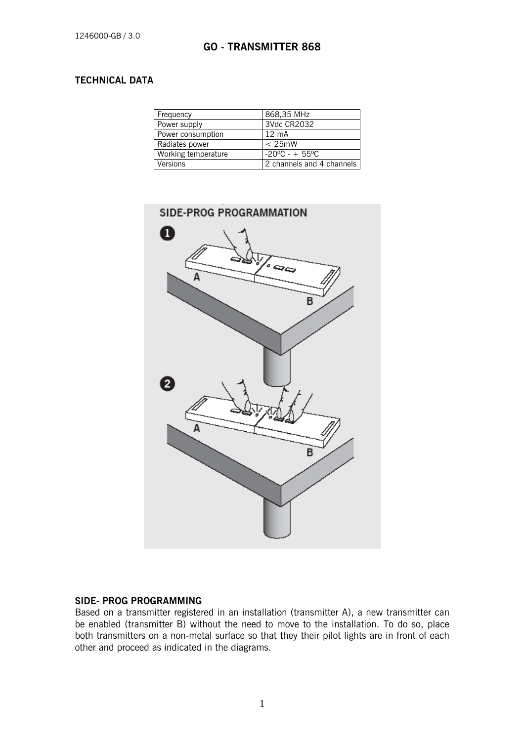# **TECHNICAL DATA**

| Frequency           | 868,35 MHz                |
|---------------------|---------------------------|
| Power supply        | 3Vdc CR2032               |
| Power consumption   | $12 \text{ mA}$           |
| Radiates power      | $< 25$ mW                 |
| Working temperature | $-20^{\circ}$ C - + 55°C  |
| Versions            | 2 channels and 4 channels |



#### **SIDE- PROG PROGRAMMING**

Based on a transmitter registered in an installation (transmitter A), a new transmitter can be enabled (transmitter B) without the need to move to the installation. To do so, place both transmitters on a non-metal surface so that they their pilot lights are in front of each other and proceed as indicated in the diagrams.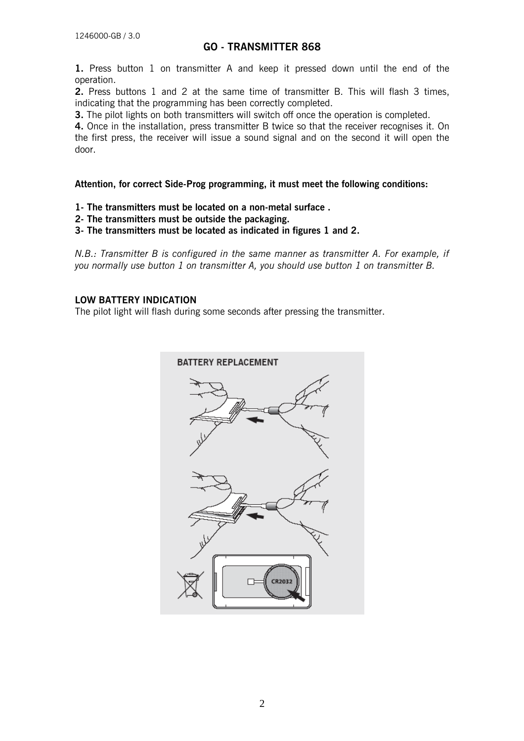# **GO - TRANSMITTER 868**

**1.** Press button 1 on transmitter A and keep it pressed down until the end of the operation.

**2.** Press buttons 1 and 2 at the same time of transmitter B. This will flash 3 times, indicating that the programming has been correctly completed.

**3.** The pilot lights on both transmitters will switch off once the operation is completed.

**4.** Once in the installation, press transmitter B twice so that the receiver recognises it. On the first press, the receiver will issue a sound signal and on the second it will open the door.

**Attention, for correct Side-Prog programming, it must meet the following conditions:** 

- **1- The transmitters must be located on a non-metal surface .**
- **2- The transmitters must be outside the packaging.**

**3- The transmitters must be located as indicated in figures 1 and 2.**

*N.B.: Transmitter B is configured in the same manner as transmitter A. For example, if you normally use button 1 on transmitter A, you should use button 1 on transmitter B.* 

### **LOW BATTERY INDICATION**

The pilot light will flash during some seconds after pressing the transmitter.